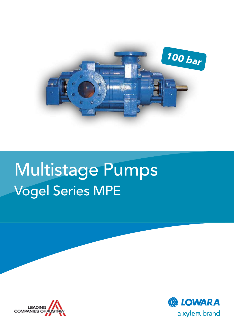

# Multistage Pumps Vogel Series MPE



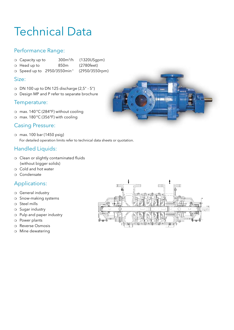### Technical Data

### Performance Range:

- o Capacity up to 300m<sup>3</sup>/h (1320USgpm)
- o Head up to 850m (2780feet)
- <sup>m</sup> Speed up to 2950/3550min-1 (2950/3550rpm)

#### Size:

- $\circ$  DN 100 up to DN 125 discharge (2,5" 5")
- o Design MP and P refer to separate brochure

#### Temperature:

- o max. 140°C (284°F) without cooling
- o max. 180°C (356°F) with cooling

#### Casing Pressure:

<sup>m</sup> max. 100 bar (1450 psig) For detailed operation limits refer to technical data sheets or quotation.

### Handled Liquids:

- o Clean or slightly contaminated fluids (without bigger solids)
- $\circ$  Cold and hot water
- o Condensate

### Applications:

- o General industry
- o Snow-making systems
- $\circ$  Steel mills
- o Sugar industry
- o Pulp and paper industry
- o Power plants
- o Reverse Osmosis
- o Mine dewatering



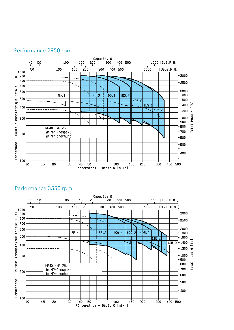





#### Performance 3550 rpm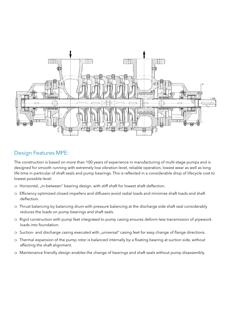

### Design Features MPE:

The construction is based on more than 100 years of experience in manufacturing of multi-stage pumps and is designed for smooth running with extremely low vibration level, reliable operation, lowest wear as well as long life time in particular of shaft seals and pump bearings. This is reflected in a considerable drop of lifecycle cost to lowest possible level.

- o Horizontal, "in-between" bearing design, with stiff shaft for lowest shaft deflection.
- m Efficiency optimized closed impellers and diffusers avoid radial loads and minimize shaft loads and shaft deflection.
- o Thrust balancing by balancing drum with pressure balancing at the discharge side shaft seal considerably reduces the loads on pump bearings and shaft seals.
- o Rigid construction with pump feet integrated to pump casing ensures deform-less transmission of pipework loads into foundation.
- o Suction- and discharge casing executed with "universal" casing feet for easy change of flange directions.
- o Thermal expansion of the pump rotor is balanced internally by a floating bearing at suction side, without affecting the shaft alignment.
- o Maintenance friendly design enables the change of bearings and shaft seals without pump disassembly.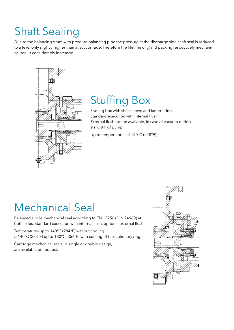## Shaft Sealing

Due to the balancing drum with pressure balancing pipe the pressure at the discharge side shaft seal is reduced to a level only slightly higher than at suction side. Therefore the lifetime of gland packing respectively mechanical seal is considerably increased.



### Stuffing Box

Stuffing box with shaft sleeve and lantern ring. Standard execution with internal flush. External flush option available, in case of vacuum during standstill of pump.

Up to temperatures of 120°C (248°F)

### Mechanical Seal

Balanced single mechanical seal according to EN 12756 (DIN 24960) at both sides. Standard execution with internal flush, optional external flush.

Temperatures up to 140°C (284°F) without cooling > 140°C (284°F) up to 180°C (356°F) with cooling of the stationary ring.

Cartridge mechanical seals, in single or double design, are available on request.

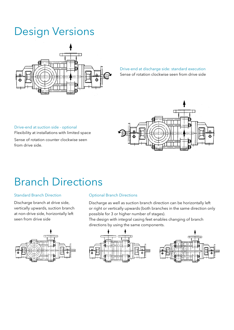### Design Versions



Drive-end at discharge side: standard execution Sense of rotation clockwise seen from drive side

#### Drive-end at suction side - optional

Flexibility at installations with limited space

Sense of rotation counter clockwise seen from drive side.



### Branch Directions

#### Standard Branch Direction

Discharge branch at drive side, vertically upwards, suction branch at non-drive side, horizontally left seen from drive side



#### Optional Branch Directions

Discharge as well as suction branch direction can be horizontally left or right or vertically upwards (both branches in the same direction only possible for 3 or higher number of stages).

The design with integral casing feet enables changing of branch directions by using the same components.

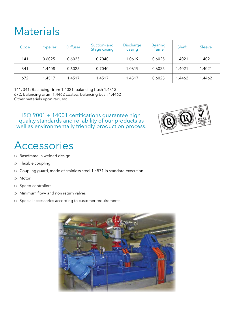### **Materials**

| Code | Impeller | <b>Diffuser</b> | Suction- and<br>Stage casing | Discharge<br>casing | <b>Bearing</b><br>frame | Shaft  | Sleeve |
|------|----------|-----------------|------------------------------|---------------------|-------------------------|--------|--------|
| 141  | 0.6025   | 0.6025          | 0.7040                       | 1.0619              | 0.6025                  | 1.4021 | 1.4021 |
| 341  | 1.4408   | 0.6025          | 0.7040                       | 1.0619              | 0.6025                  | 1.4021 | 1.4021 |
| 672  | 1.4517   | 1.4517          | 1.4517                       | 1.4517              | 0.6025                  | 1.4462 | 1.4462 |

141, 341: Balancing drum 1.4021, balancing bush 1.4313 672: Balancing drum 1.4462 coated, balancing bush 1.4462 Other materials upon request

ISO 9001 + 14001 certifications guarantee high quality standards and reliability of our products as well as environmentally friendly production process.

### Accessories

- o Baseframe in welded design
- o Flexible coupling
- o Coupling guard, made of stainless steel 1.4571 in standard execution
- o Motor
- o Speed controllers
- $\circ$  Minimum flow- and non return valves
- o Special accessories according to customer requirements